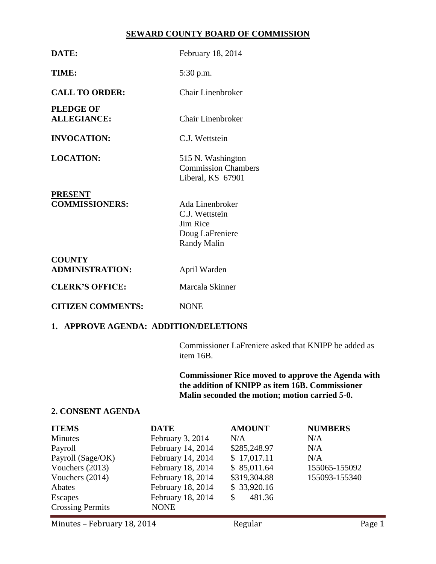### **SEWARD COUNTY BOARD OF COMMISSION**

| DATE:                                   | February 18, 2014                                                               |  |
|-----------------------------------------|---------------------------------------------------------------------------------|--|
| TIME:                                   | 5:30 p.m.                                                                       |  |
| <b>CALL TO ORDER:</b>                   | Chair Linenbroker                                                               |  |
| <b>PLEDGE OF</b><br><b>ALLEGIANCE:</b>  | <b>Chair Linenbroker</b>                                                        |  |
| <b>INVOCATION:</b>                      | C.J. Wettstein                                                                  |  |
| <b>LOCATION:</b>                        | 515 N. Washington<br><b>Commission Chambers</b><br>Liberal, KS 67901            |  |
| <b>PRESENT</b><br><b>COMMISSIONERS:</b> | Ada Linenbroker<br>C.J. Wettstein<br>Jim Rice<br>Doug LaFreniere<br>Randy Malin |  |
| <b>COUNTY</b><br><b>ADMINISTRATION:</b> | April Warden                                                                    |  |
| <b>CLERK'S OFFICE:</b>                  | Marcala Skinner                                                                 |  |
| <b>CITIZEN COMMENTS:</b>                | <b>NONE</b>                                                                     |  |
| 1. APPROVE AGENDA: ADDITION/DELETIONS   |                                                                                 |  |

Commissioner LaFreniere asked that KNIPP be added as item 16B.

**Commissioner Rice moved to approve the Agenda with the addition of KNIPP as item 16B. Commissioner Malin seconded the motion; motion carried 5-0.**

# **2. CONSENT AGENDA**

| <b>ITEMS</b>            | <b>DATE</b>       | <b>AMOUNT</b> | <b>NUMBERS</b> |
|-------------------------|-------------------|---------------|----------------|
| <b>Minutes</b>          | February 3, 2014  | N/A           | N/A            |
| Payroll                 | February 14, 2014 | \$285,248.97  | N/A            |
| Payroll (Sage/OK)       | February 14, 2014 | \$17,017.11   | N/A            |
| Vouchers (2013)         | February 18, 2014 | \$85,011.64   | 155065-155092  |
| Vouchers (2014)         | February 18, 2014 | \$319,304.88  | 155093-155340  |
| Abates                  | February 18, 2014 | \$33,920.16   |                |
| <b>Escapes</b>          | February 18, 2014 | 481.36<br>\$. |                |
| <b>Crossing Permits</b> | <b>NONE</b>       |               |                |

Minutes – February 18, 2014 **Regular** Regular Page 1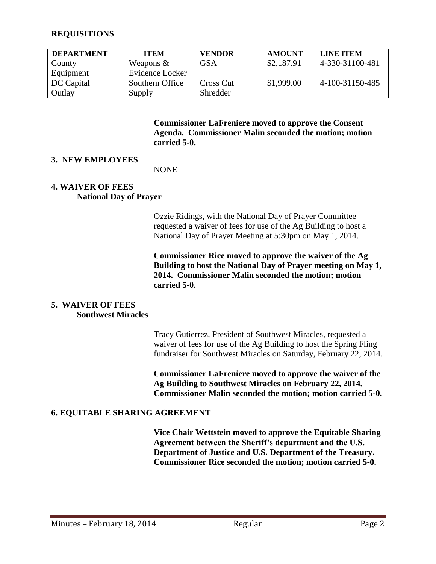### **REQUISITIONS**

| <b>DEPARTMENT</b> | <b>ITEM</b>     | <b>VENDOR</b> | <b>AMOUNT</b> | <b>LINE ITEM</b> |
|-------------------|-----------------|---------------|---------------|------------------|
| County            | Weapons $\&$    | GSA           | \$2,187.91    | 4-330-31100-481  |
| Equipment         | Evidence Locker |               |               |                  |
| DC Capital        | Southern Office | Cross Cut     | \$1,999.00    | 4-100-31150-485  |
| Outlay            | Supply          | Shredder      |               |                  |

**Commissioner LaFreniere moved to approve the Consent Agenda. Commissioner Malin seconded the motion; motion carried 5-0.**

#### **3. NEW EMPLOYEES**

NONE

#### **4. WAIVER OF FEES National Day of Prayer**

Ozzie Ridings, with the National Day of Prayer Committee requested a waiver of fees for use of the Ag Building to host a National Day of Prayer Meeting at 5:30pm on May 1, 2014.

**Commissioner Rice moved to approve the waiver of the Ag Building to host the National Day of Prayer meeting on May 1, 2014. Commissioner Malin seconded the motion; motion carried 5-0.**

#### **5. WAIVER OF FEES Southwest Miracles**

Tracy Gutierrez, President of Southwest Miracles, requested a waiver of fees for use of the Ag Building to host the Spring Fling fundraiser for Southwest Miracles on Saturday, February 22, 2014.

**Commissioner LaFreniere moved to approve the waiver of the Ag Building to Southwest Miracles on February 22, 2014. Commissioner Malin seconded the motion; motion carried 5-0.**

#### **6. EQUITABLE SHARING AGREEMENT**

**Vice Chair Wettstein moved to approve the Equitable Sharing Agreement between the Sheriff's department and the U.S. Department of Justice and U.S. Department of the Treasury. Commissioner Rice seconded the motion; motion carried 5-0.**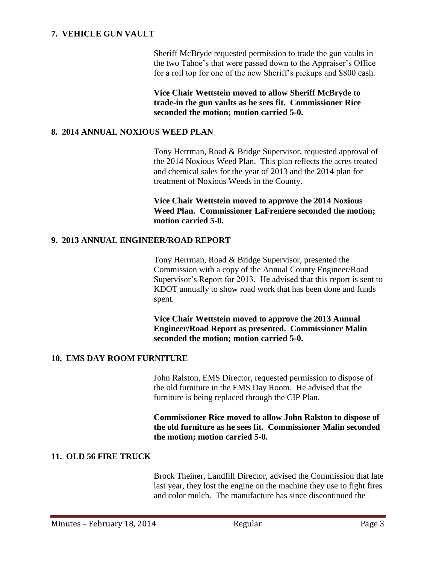# **7. VEHICLE GUN VAULT**

Sheriff McBryde requested permission to trade the gun vaults in the two Tahoe's that were passed down to the Appraiser's Office for a roll top for one of the new Sheriff's pickups and \$800 cash.

**Vice Chair Wettstein moved to allow Sheriff McBryde to trade-in the gun vaults as he sees fit. Commissioner Rice seconded the motion; motion carried 5-0.**

#### **8. 2014 ANNUAL NOXIOUS WEED PLAN**

Tony Herrman, Road & Bridge Supervisor, requested approval of the 2014 Noxious Weed Plan. This plan reflects the acres treated and chemical sales for the year of 2013 and the 2014 plan for treatment of Noxious Weeds in the County.

**Vice Chair Wettstein moved to approve the 2014 Noxious Weed Plan. Commissioner LaFreniere seconded the motion; motion carried 5-0.** 

### **9. 2013 ANNUAL ENGINEER/ROAD REPORT**

Tony Herrman, Road & Bridge Supervisor, presented the Commission with a copy of the Annual County Engineer/Road Supervisor's Report for 2013. He advised that this report is sent to KDOT annually to show road work that has been done and funds spent.

**Vice Chair Wettstein moved to approve the 2013 Annual Engineer/Road Report as presented. Commissioner Malin seconded the motion; motion carried 5-0.**

# **10. EMS DAY ROOM FURNITURE**

John Ralston, EMS Director, requested permission to dispose of the old furniture in the EMS Day Room. He advised that the furniture is being replaced through the CIP Plan.

**Commissioner Rice moved to allow John Ralston to dispose of the old furniture as he sees fit. Commissioner Malin seconded the motion; motion carried 5-0.**

# **11. OLD 56 FIRE TRUCK**

Brock Theiner, Landfill Director, advised the Commission that late last year, they lost the engine on the machine they use to fight fires and color mulch. The manufacture has since discontinued the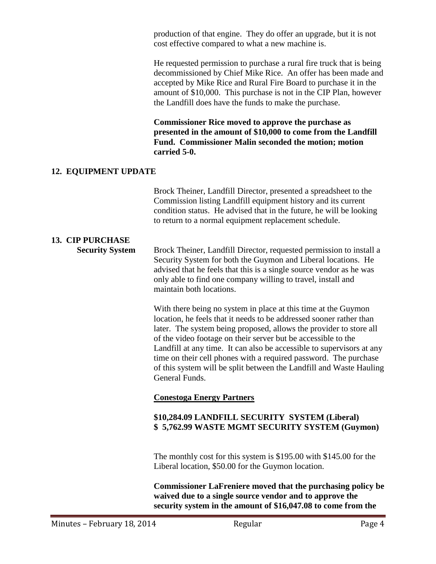production of that engine. They do offer an upgrade, but it is not cost effective compared to what a new machine is.

He requested permission to purchase a rural fire truck that is being decommissioned by Chief Mike Rice. An offer has been made and accepted by Mike Rice and Rural Fire Board to purchase it in the amount of \$10,000. This purchase is not in the CIP Plan, however the Landfill does have the funds to make the purchase.

**Commissioner Rice moved to approve the purchase as presented in the amount of \$10,000 to come from the Landfill Fund. Commissioner Malin seconded the motion; motion carried 5-0.**

### **12. EQUIPMENT UPDATE**

|                                                   | Brock Theiner, Landfill Director, presented a spreadsheet to the<br>Commission listing Landfill equipment history and its current<br>condition status. He advised that in the future, he will be looking<br>to return to a normal equipment replacement schedule.                                                                                                                                                                                                                                                  |  |
|---------------------------------------------------|--------------------------------------------------------------------------------------------------------------------------------------------------------------------------------------------------------------------------------------------------------------------------------------------------------------------------------------------------------------------------------------------------------------------------------------------------------------------------------------------------------------------|--|
| <b>13. CIP PURCHASE</b><br><b>Security System</b> | Brock Theiner, Landfill Director, requested permission to install a<br>Security System for both the Guymon and Liberal locations. He<br>advised that he feels that this is a single source vendor as he was<br>only able to find one company willing to travel, install and<br>maintain both locations.                                                                                                                                                                                                            |  |
|                                                   | With there being no system in place at this time at the Guymon<br>location, he feels that it needs to be addressed sooner rather than<br>later. The system being proposed, allows the provider to store all<br>of the video footage on their server but be accessible to the<br>Landfill at any time. It can also be accessible to supervisors at any<br>time on their cell phones with a required password. The purchase<br>of this system will be split between the Landfill and Waste Hauling<br>General Funds. |  |
|                                                   | <b>Conestoga Energy Partners</b>                                                                                                                                                                                                                                                                                                                                                                                                                                                                                   |  |
|                                                   | \$10,284.09 LANDFILL SECURITY SYSTEM (Liberal)<br>\$5,762.99 WASTE MGMT SECURITY SYSTEM (Guymon)                                                                                                                                                                                                                                                                                                                                                                                                                   |  |
|                                                   | The monthly cost for this system is $$195.00$ with $$145.00$ for the<br>Liberal location, \$50.00 for the Guymon location.                                                                                                                                                                                                                                                                                                                                                                                         |  |
|                                                   | <b>Commissioner LaFreniere moved that the purchasing policy be</b><br>waived due to a single source vendor and to approve the<br>security system in the amount of \$16,047.08 to come from the                                                                                                                                                                                                                                                                                                                     |  |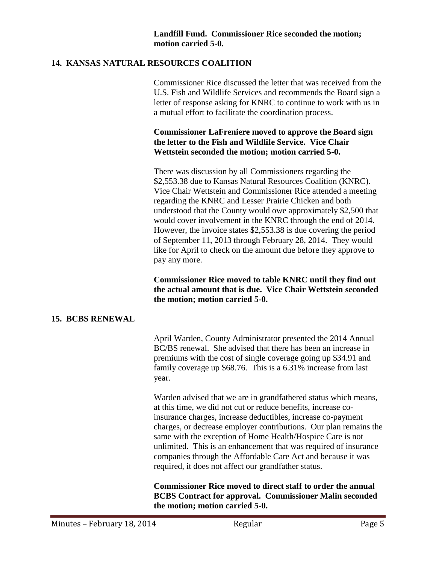# **14. KANSAS NATURAL RESOURCES COALITION**

Commissioner Rice discussed the letter that was received from the U.S. Fish and Wildlife Services and recommends the Board sign a letter of response asking for KNRC to continue to work with us in a mutual effort to facilitate the coordination process.

### **Commissioner LaFreniere moved to approve the Board sign the letter to the Fish and Wildlife Service. Vice Chair Wettstein seconded the motion; motion carried 5-0.**

There was discussion by all Commissioners regarding the \$2,553.38 due to Kansas Natural Resources Coalition (KNRC). Vice Chair Wettstein and Commissioner Rice attended a meeting regarding the KNRC and Lesser Prairie Chicken and both understood that the County would owe approximately \$2,500 that would cover involvement in the KNRC through the end of 2014. However, the invoice states \$2,553.38 is due covering the period of September 11, 2013 through February 28, 2014. They would like for April to check on the amount due before they approve to pay any more.

**Commissioner Rice moved to table KNRC until they find out the actual amount that is due. Vice Chair Wettstein seconded the motion; motion carried 5-0.**

# **15. BCBS RENEWAL**

April Warden, County Administrator presented the 2014 Annual BC/BS renewal. She advised that there has been an increase in premiums with the cost of single coverage going up \$34.91 and family coverage up \$68.76. This is a 6.31% increase from last year.

Warden advised that we are in grandfathered status which means, at this time, we did not cut or reduce benefits, increase coinsurance charges, increase deductibles, increase co-payment charges, or decrease employer contributions. Our plan remains the same with the exception of Home Health/Hospice Care is not unlimited. This is an enhancement that was required of insurance companies through the Affordable Care Act and because it was required, it does not affect our grandfather status.

**Commissioner Rice moved to direct staff to order the annual BCBS Contract for approval. Commissioner Malin seconded the motion; motion carried 5-0.**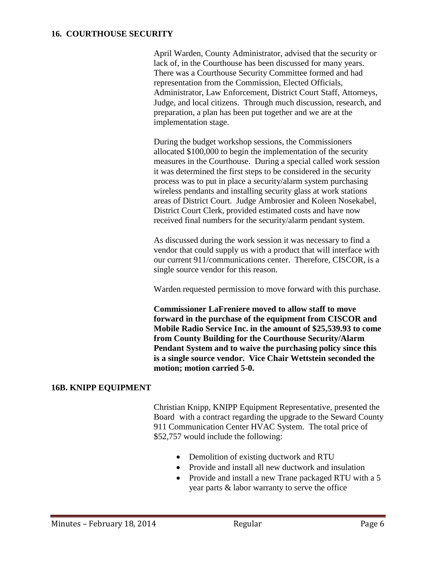### **16. COURTHOUSE SECURITY**

April Warden, County Administrator, advised that the security or lack of, in the Courthouse has been discussed for many years. There was a Courthouse Security Committee formed and had representation from the Commission, Elected Officials, Administrator, Law Enforcement, District Court Staff, Attorneys, Judge, and local citizens. Through much discussion, research, and preparation, a plan has been put together and we are at the implementation stage.

During the budget workshop sessions, the Commissioners allocated \$100,000 to begin the implementation of the security measures in the Courthouse. During a special called work session it was determined the first steps to be considered in the security process was to put in place a security/alarm system purchasing wireless pendants and installing security glass at work stations areas of District Court. Judge Ambrosier and Koleen Nosekabel, District Court Clerk, provided estimated costs and have now received final numbers for the security/alarm pendant system.

As discussed during the work session it was necessary to find a vendor that could supply us with a product that will interface with our current 911/communications center. Therefore, CISCOR, is a single source vendor for this reason.

Warden requested permission to move forward with this purchase.

**Commissioner LaFreniere moved to allow staff to move forward in the purchase of the equipment from CISCOR and Mobile Radio Service Inc. in the amount of \$25,539.93 to come from County Building for the Courthouse Security/Alarm Pendant System and to waive the purchasing policy since this is a single source vendor. Vice Chair Wettstein seconded the motion; motion carried 5-0.**

#### **16B. KNIPP EQUIPMENT**

Christian Knipp, KNIPP Equipment Representative, presented the Board with a contract regarding the upgrade to the Seward County 911 Communication Center HVAC System. The total price of \$52,757 would include the following:

- Demolition of existing ductwork and RTU
- Provide and install all new ductwork and insulation
- Provide and install a new Trane packaged RTU with a 5 year parts & labor warranty to serve the office